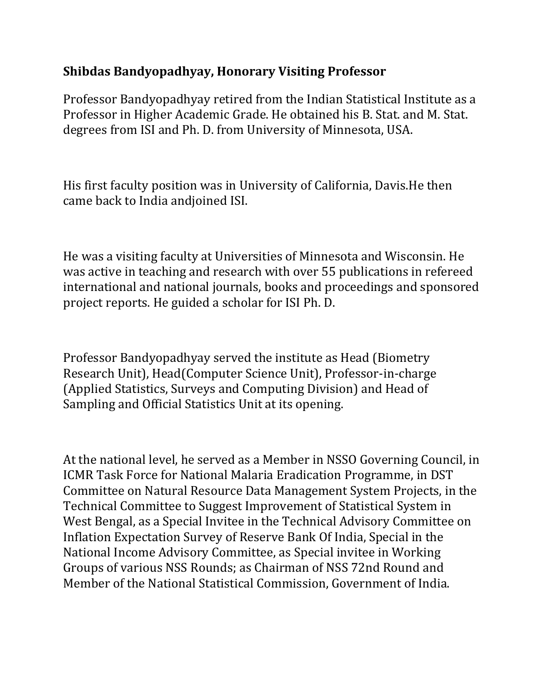## **Shibdas Bandyopadhyay, Honorary Visiting Professor**

Professor Bandyopadhyay retired from the Indian Statistical Institute as a Professor in Higher Academic Grade. He obtained his B. Stat. and M. Stat. degrees from ISI and Ph. D. from University of Minnesota, USA.

His first faculty position was in University of California, Davis.He then came back to India andjoined ISI.

He was a visiting faculty at Universities of Minnesota and Wisconsin. He was active in teaching and research with over 55 publications in refereed international and national journals, books and proceedings and sponsored project reports. He guided a scholar for ISI Ph. D.

Professor Bandyopadhyay served the institute as Head (Biometry Research Unit), Head(Computer Science Unit), Professor-in-charge (Applied Statistics, Surveys and Computing Division) and Head of Sampling and Official Statistics Unit at its opening.

At the national level, he served as a Member in NSSO Governing Council, in ICMR Task Force for National Malaria Eradication Programme, in DST Committee on Natural Resource Data Management System Projects, in the Technical Committee to Suggest Improvement of Statistical System in West Bengal, as a Special Invitee in the Technical Advisory Committee on Inflation Expectation Survey of Reserve Bank Of India, Special in the National Income Advisory Committee, as Special invitee in Working Groups of various NSS Rounds; as Chairman of NSS 72nd Round and Member of the National Statistical Commission, Government of India.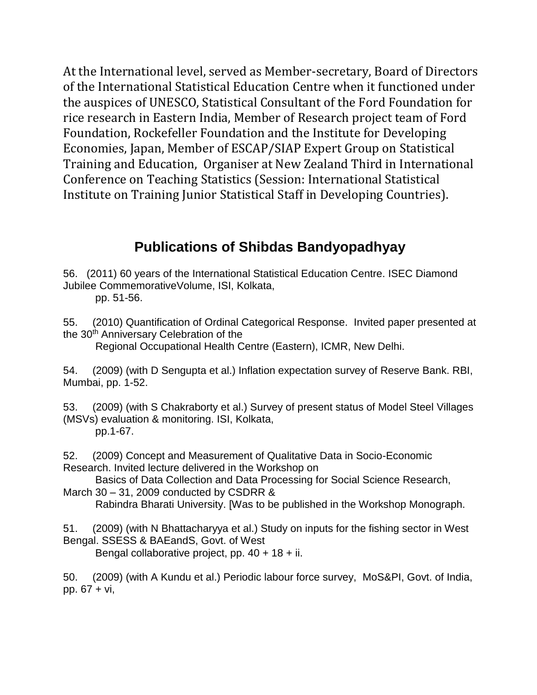At the International level, served as Member-secretary, Board of Directors of the International Statistical Education Centre when it functioned under the auspices of UNESCO, Statistical Consultant of the Ford Foundation for rice research in Eastern India, Member of Research project team of Ford Foundation, Rockefeller Foundation and the Institute for Developing Economies, Japan, Member of ESCAP/SIAP Expert Group on Statistical Training and Education, Organiser at New Zealand Third in International Conference on Teaching Statistics (Session: International Statistical Institute on Training Junior Statistical Staff in Developing Countries).

## **Publications of Shibdas Bandyopadhyay**

56. (2011) 60 years of the International Statistical Education Centre. ISEC Diamond Jubilee CommemorativeVolume, ISI, Kolkata,

pp. 51-56.

55. (2010) Quantification of Ordinal Categorical Response. Invited paper presented at the 30<sup>th</sup> Anniversary Celebration of the

Regional Occupational Health Centre (Eastern), ICMR, New Delhi.

54. (2009) (with D Sengupta et al.) Inflation expectation survey of Reserve Bank. RBI, Mumbai, pp. 1-52.

53. (2009) (with S Chakraborty et al.) Survey of present status of Model Steel Villages (MSVs) evaluation & monitoring. ISI, Kolkata, pp.1-67.

52. (2009) Concept and Measurement of Qualitative Data in Socio-Economic Research. Invited lecture delivered in the Workshop on

 Basics of Data Collection and Data Processing for Social Science Research, March 30 – 31, 2009 conducted by CSDRR &

Rabindra Bharati University. [Was to be published in the Workshop Monograph.

51. (2009) (with N Bhattacharyya et al.) Study on inputs for the fishing sector in West Bengal. SSESS & BAEandS, Govt. of West

Bengal collaborative project, pp. 40 + 18 + ii.

50. (2009) (with A Kundu et al.) Periodic labour force survey, MoS&PI, Govt. of India, pp. 67 + vi,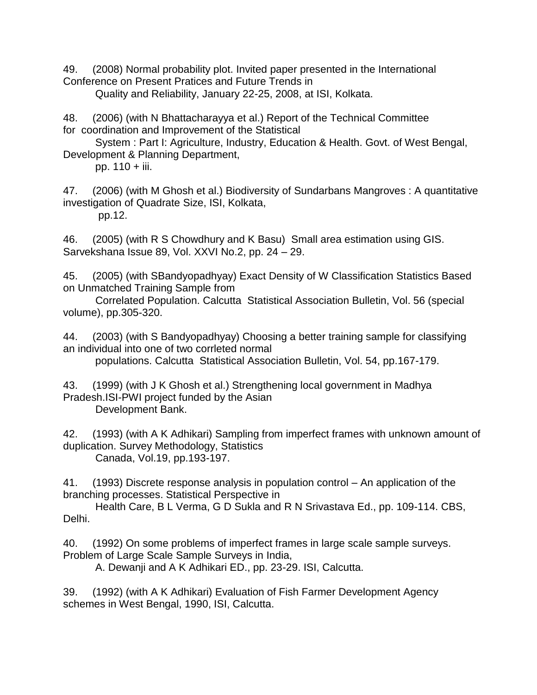49. (2008) Normal probability plot. Invited paper presented in the International Conference on Present Pratices and Future Trends in

Quality and Reliability, January 22-25, 2008, at ISI, Kolkata.

48. (2006) (with N Bhattacharayya et al.) Report of the Technical Committee for coordination and Improvement of the Statistical

 System : Part I: Agriculture, Industry, Education & Health. Govt. of West Bengal, Development & Planning Department,

pp. 110 + iii.

47. (2006) (with M Ghosh et al.) Biodiversity of Sundarbans Mangroves : A quantitative investigation of Quadrate Size, ISI, Kolkata,

pp.12.

46. (2005) (with R S Chowdhury and K Basu) Small area estimation using GIS. Sarvekshana Issue 89, Vol. XXVI No.2, pp. 24 – 29.

45. (2005) (with SBandyopadhyay) Exact Density of W Classification Statistics Based on Unmatched Training Sample from

 Correlated Population. Calcutta Statistical Association Bulletin, Vol. 56 (special volume), pp.305-320.

44. (2003) (with S Bandyopadhyay) Choosing a better training sample for classifying an individual into one of two corrleted normal populations. Calcutta Statistical Association Bulletin, Vol. 54, pp.167-179.

43. (1999) (with J K Ghosh et al.) Strengthening local government in Madhya Pradesh.ISI-PWI project funded by the Asian Development Bank.

42. (1993) (with A K Adhikari) Sampling from imperfect frames with unknown amount of duplication. Survey Methodology, Statistics Canada, Vol.19, pp.193-197.

41. (1993) Discrete response analysis in population control – An application of the branching processes. Statistical Perspective in

 Health Care, B L Verma, G D Sukla and R N Srivastava Ed., pp. 109-114. CBS, Delhi.

40. (1992) On some problems of imperfect frames in large scale sample surveys. Problem of Large Scale Sample Surveys in India,

A. Dewanji and A K Adhikari ED., pp. 23-29. ISI, Calcutta.

39. (1992) (with A K Adhikari) Evaluation of Fish Farmer Development Agency schemes in West Bengal, 1990, ISI, Calcutta.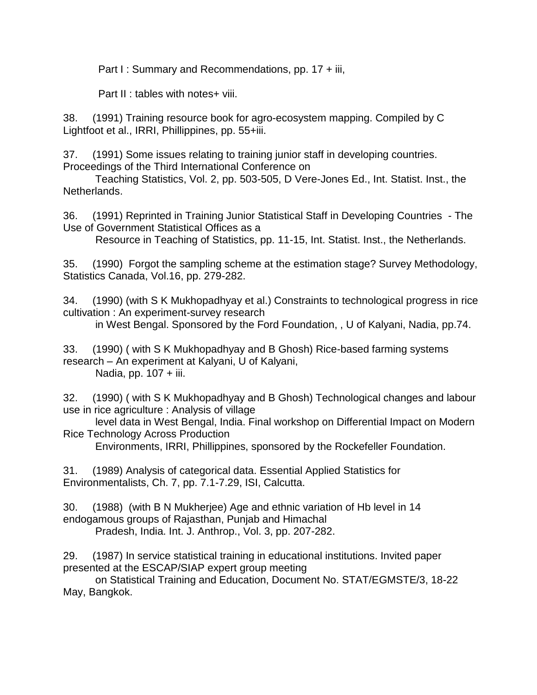Part I: Summary and Recommendations, pp. 17 + iii,

Part II : tables with notes+ viii.

38. (1991) Training resource book for agro-ecosystem mapping. Compiled by C Lightfoot et al., IRRI, Phillippines, pp. 55+iii.

37. (1991) Some issues relating to training junior staff in developing countries. Proceedings of the Third International Conference on

 Teaching Statistics, Vol. 2, pp. 503-505, D Vere-Jones Ed., Int. Statist. Inst., the Netherlands.

36. (1991) Reprinted in Training Junior Statistical Staff in Developing Countries - The Use of Government Statistical Offices as a

Resource in Teaching of Statistics, pp. 11-15, Int. Statist. Inst., the Netherlands.

35. (1990) Forgot the sampling scheme at the estimation stage? Survey Methodology, Statistics Canada, Vol.16, pp. 279-282.

34. (1990) (with S K Mukhopadhyay et al.) Constraints to technological progress in rice cultivation : An experiment-survey research

in West Bengal. Sponsored by the Ford Foundation, , U of Kalyani, Nadia, pp.74.

33. (1990) ( with S K Mukhopadhyay and B Ghosh) Rice-based farming systems research – An experiment at Kalyani, U of Kalyani, Nadia, pp. 107 + iii.

32. (1990) ( with S K Mukhopadhyay and B Ghosh) Technological changes and labour use in rice agriculture : Analysis of village

 level data in West Bengal, India. Final workshop on Differential Impact on Modern Rice Technology Across Production

Environments, IRRI, Phillippines, sponsored by the Rockefeller Foundation.

31. (1989) Analysis of categorical data. Essential Applied Statistics for Environmentalists, Ch. 7, pp. 7.1-7.29, ISI, Calcutta.

30. (1988) (with B N Mukherjee) Age and ethnic variation of Hb level in 14 endogamous groups of Rajasthan, Punjab and Himachal Pradesh, India. Int. J. Anthrop., Vol. 3, pp. 207-282.

29. (1987) In service statistical training in educational institutions. Invited paper presented at the ESCAP/SIAP expert group meeting

 on Statistical Training and Education, Document No. STAT/EGMSTE/3, 18-22 May, Bangkok.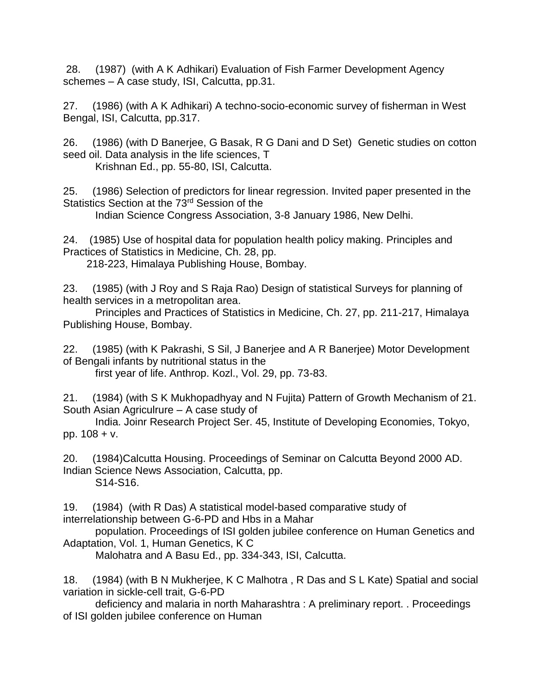28. (1987) (with A K Adhikari) Evaluation of Fish Farmer Development Agency schemes – A case study, ISI, Calcutta, pp.31.

27. (1986) (with A K Adhikari) A techno-socio-economic survey of fisherman in West Bengal, ISI, Calcutta, pp.317.

26. (1986) (with D Banerjee, G Basak, R G Dani and D Set) Genetic studies on cotton seed oil. Data analysis in the life sciences, T

Krishnan Ed., pp. 55-80, ISI, Calcutta.

25. (1986) Selection of predictors for linear regression. Invited paper presented in the Statistics Section at the 73<sup>rd</sup> Session of the

Indian Science Congress Association, 3-8 January 1986, New Delhi.

24. (1985) Use of hospital data for population health policy making. Principles and Practices of Statistics in Medicine, Ch. 28, pp.

218-223, Himalaya Publishing House, Bombay.

23. (1985) (with J Roy and S Raja Rao) Design of statistical Surveys for planning of health services in a metropolitan area.

 Principles and Practices of Statistics in Medicine, Ch. 27, pp. 211-217, Himalaya Publishing House, Bombay.

22. (1985) (with K Pakrashi, S Sil, J Banerjee and A R Banerjee) Motor Development of Bengali infants by nutritional status in the

first year of life. Anthrop. Kozl., Vol. 29, pp. 73-83.

21. (1984) (with S K Mukhopadhyay and N Fujita) Pattern of Growth Mechanism of 21. South Asian Agriculrure – A case study of

 India. Joinr Research Project Ser. 45, Institute of Developing Economies, Tokyo, pp. 108 + v.

20. (1984)Calcutta Housing. Proceedings of Seminar on Calcutta Beyond 2000 AD. Indian Science News Association, Calcutta, pp. S14-S16.

19. (1984) (with R Das) A statistical model-based comparative study of interrelationship between G-6-PD and Hbs in a Mahar

 population. Proceedings of ISI golden jubilee conference on Human Genetics and Adaptation, Vol. 1, Human Genetics, K C

Malohatra and A Basu Ed., pp. 334-343, ISI, Calcutta.

18. (1984) (with B N Mukherjee, K C Malhotra , R Das and S L Kate) Spatial and social variation in sickle-cell trait, G-6-PD

 deficiency and malaria in north Maharashtra : A preliminary report. . Proceedings of ISI golden jubilee conference on Human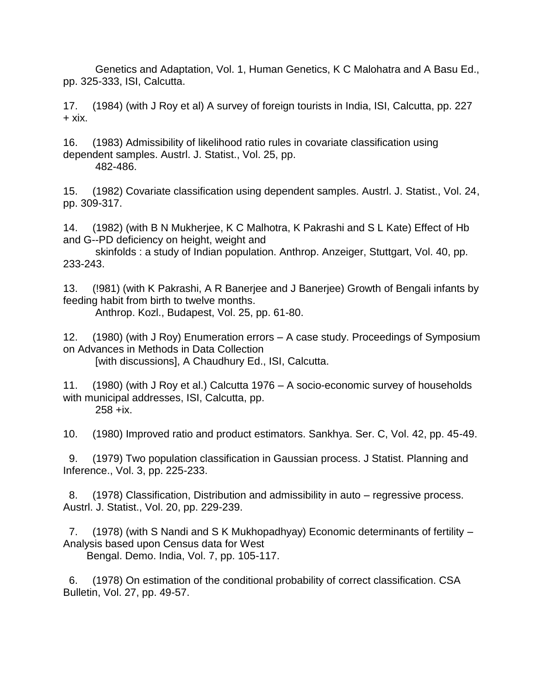Genetics and Adaptation, Vol. 1, Human Genetics, K C Malohatra and A Basu Ed., pp. 325-333, ISI, Calcutta.

17. (1984) (with J Roy et al) A survey of foreign tourists in India, ISI, Calcutta, pp. 227  $+ xix.$ 

16. (1983) Admissibility of likelihood ratio rules in covariate classification using dependent samples. Austrl. J. Statist., Vol. 25, pp. 482-486.

15. (1982) Covariate classification using dependent samples. Austrl. J. Statist., Vol. 24, pp. 309-317.

14. (1982) (with B N Mukherjee, K C Malhotra, K Pakrashi and S L Kate) Effect of Hb and G--PD deficiency on height, weight and

 skinfolds : a study of Indian population. Anthrop. Anzeiger, Stuttgart, Vol. 40, pp. 233-243.

13. (!981) (with K Pakrashi, A R Banerjee and J Banerjee) Growth of Bengali infants by feeding habit from birth to twelve months. Anthrop. Kozl., Budapest, Vol. 25, pp. 61-80.

12. (1980) (with J Roy) Enumeration errors – A case study. Proceedings of Symposium on Advances in Methods in Data Collection [with discussions], A Chaudhury Ed., ISI, Calcutta.

11. (1980) (with J Roy et al.) Calcutta 1976 – A socio-economic survey of households with municipal addresses, ISI, Calcutta, pp. 258 +ix.

10. (1980) Improved ratio and product estimators. Sankhya. Ser. C, Vol. 42, pp. 45-49.

 9. (1979) Two population classification in Gaussian process. J Statist. Planning and Inference., Vol. 3, pp. 225-233.

 8. (1978) Classification, Distribution and admissibility in auto – regressive process. Austrl. J. Statist., Vol. 20, pp. 229-239.

 7. (1978) (with S Nandi and S K Mukhopadhyay) Economic determinants of fertility – Analysis based upon Census data for West

Bengal. Demo. India, Vol. 7, pp. 105-117.

 6. (1978) On estimation of the conditional probability of correct classification. CSA Bulletin, Vol. 27, pp. 49-57.